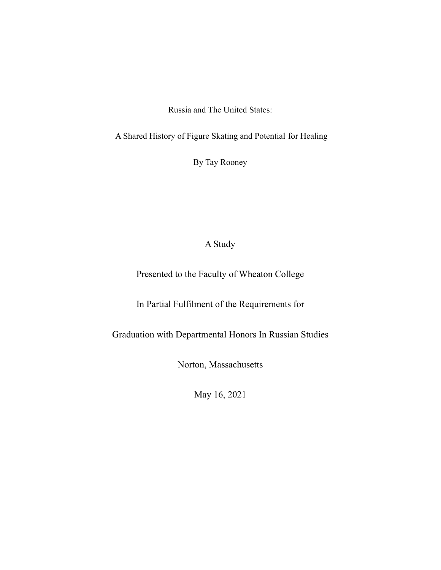Russia and The United States:

A Shared History of Figure Skating and Potential for Healing

By Tay Rooney

# A Study

Presented to the Faculty of Wheaton College

In Partial Fulfilment of the Requirements for

Graduation with Departmental Honors In Russian Studies

Norton, Massachusetts

May 16, 2021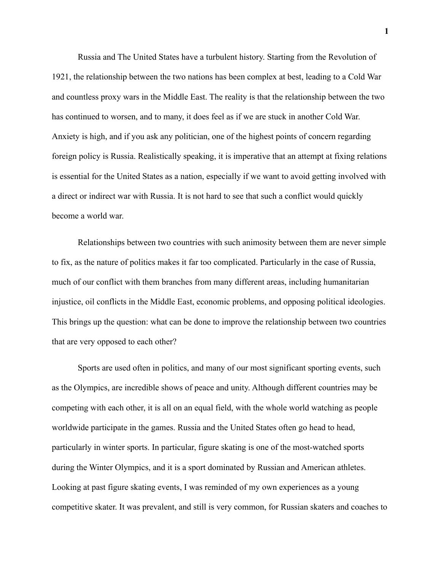Russia and The United States have a turbulent history. Starting from the Revolution of 1921, the relationship between the two nations has been complex at best, leading to a Cold War and countless proxy wars in the Middle East. The reality is that the relationship between the two has continued to worsen, and to many, it does feel as if we are stuck in another Cold War. Anxiety is high, and if you ask any politician, one of the highest points of concern regarding foreign policy is Russia. Realistically speaking, it is imperative that an attempt at fixing relations is essential for the United States as a nation, especially if we want to avoid getting involved with a direct or indirect war with Russia. It is not hard to see that such a conflict would quickly become a world war.

Relationships between two countries with such animosity between them are never simple to fix, as the nature of politics makes it far too complicated. Particularly in the case of Russia, much of our conflict with them branches from many different areas, including humanitarian injustice, oil conflicts in the Middle East, economic problems, and opposing political ideologies. This brings up the question: what can be done to improve the relationship between two countries that are very opposed to each other?

Sports are used often in politics, and many of our most significant sporting events, such as the Olympics, are incredible shows of peace and unity. Although different countries may be competing with each other, it is all on an equal field, with the whole world watching as people worldwide participate in the games. Russia and the United States often go head to head, particularly in winter sports. In particular, figure skating is one of the most-watched sports during the Winter Olympics, and it is a sport dominated by Russian and American athletes. Looking at past figure skating events, I was reminded of my own experiences as a young competitive skater. It was prevalent, and still is very common, for Russian skaters and coaches to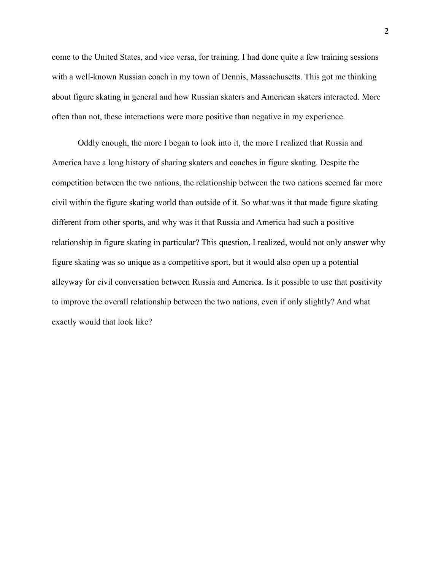come to the United States, and vice versa, for training. I had done quite a few training sessions with a well-known Russian coach in my town of Dennis, Massachusetts. This got me thinking about figure skating in general and how Russian skaters and American skaters interacted. More often than not, these interactions were more positive than negative in my experience.

Oddly enough, the more I began to look into it, the more I realized that Russia and America have a long history of sharing skaters and coaches in figure skating. Despite the competition between the two nations, the relationship between the two nations seemed far more civil within the figure skating world than outside of it. So what was it that made figure skating different from other sports, and why was it that Russia and America had such a positive relationship in figure skating in particular? This question, I realized, would not only answer why figure skating was so unique as a competitive sport, but it would also open up a potential alleyway for civil conversation between Russia and America. Is it possible to use that positivity to improve the overall relationship between the two nations, even if only slightly? And what exactly would that look like?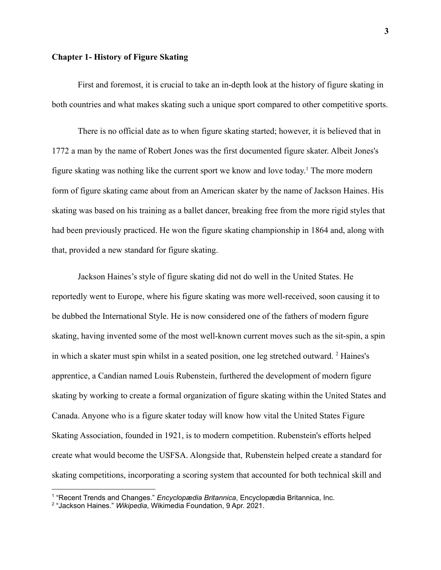# **Chapter 1- History of Figure Skating**

First and foremost, it is crucial to take an in-depth look at the history of figure skating in both countries and what makes skating such a unique sport compared to other competitive sports.

There is no official date as to when figure skating started; however, it is believed that in 1772 a man by the name of Robert Jones was the first documented figure skater. Albeit Jones's figure skating was nothing like the current sport we know and love today. <sup>1</sup> The more modern form of figure skating came about from an American skater by the name of Jackson Haines. His skating was based on his training as a ballet dancer, breaking free from the more rigid styles that had been previously practiced. He won the figure skating championship in 1864 and, along with that, provided a new standard for figure skating.

Jackson Haines's style of figure skating did not do well in the United States. He reportedly went to Europe, where his figure skating was more well-received, soon causing it to be dubbed the International Style. He is now considered one of the fathers of modern figure skating, having invented some of the most well-known current moves such as the sit-spin, a spin in which a skater must spin whilst in a seated position, one leg stretched outward. <sup>2</sup> Haines's apprentice, a Candian named Louis Rubenstein, furthered the development of modern figure skating by working to create a formal organization of figure skating within the United States and Canada. Anyone who is a figure skater today will know how vital the United States Figure Skating Association, founded in 1921, is to modern competition. Rubenstein's efforts helped create what would become the USFSA. Alongside that, Rubenstein helped create a standard for skating competitions, incorporating a scoring system that accounted for both technical skill and

<sup>1</sup> "Recent Trends and Changes." *Encyclopædia Britannica*, Encyclopædia Britannica, Inc.

<sup>2</sup> "Jackson Haines." *Wikipedia*, Wikimedia Foundation, 9 Apr. 2021.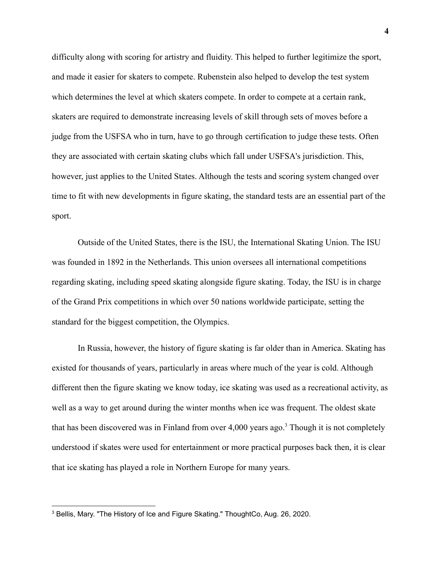difficulty along with scoring for artistry and fluidity. This helped to further legitimize the sport, and made it easier for skaters to compete. Rubenstein also helped to develop the test system which determines the level at which skaters compete. In order to compete at a certain rank, skaters are required to demonstrate increasing levels of skill through sets of moves before a judge from the USFSA who in turn, have to go through certification to judge these tests. Often they are associated with certain skating clubs which fall under USFSA's jurisdiction. This, however, just applies to the United States. Although the tests and scoring system changed over time to fit with new developments in figure skating, the standard tests are an essential part of the sport.

Outside of the United States, there is the ISU, the International Skating Union. The ISU was founded in 1892 in the Netherlands. This union oversees all international competitions regarding skating, including speed skating alongside figure skating. Today, the ISU is in charge of the Grand Prix competitions in which over 50 nations worldwide participate, setting the standard for the biggest competition, the Olympics.

In Russia, however, the history of figure skating is far older than in America. Skating has existed for thousands of years, particularly in areas where much of the year is cold. Although different then the figure skating we know today, ice skating was used as a recreational activity, as well as a way to get around during the winter months when ice was frequent. The oldest skate that has been discovered was in Finland from over  $4,000$  years ago.<sup>3</sup> Though it is not completely understood if skates were used for entertainment or more practical purposes back then, it is clear that ice skating has played a role in Northern Europe for many years.

<sup>3</sup> Bellis, Mary. "The History of Ice and Figure Skating." ThoughtCo, Aug. 26, 2020.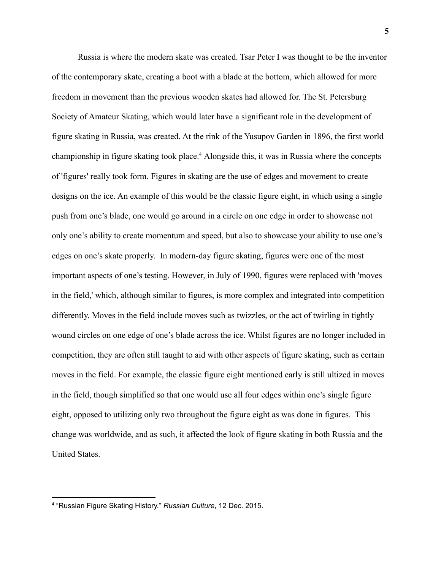Russia is where the modern skate was created. Tsar Peter I was thought to be the inventor of the contemporary skate, creating a boot with a blade at the bottom, which allowed for more freedom in movement than the previous wooden skates had allowed for. The St. Petersburg Society of Amateur Skating, which would later have a significant role in the development of figure skating in Russia, was created. At the rink of the Yusupov Garden in 1896, the first world championship in figure skating took place.<sup>4</sup> Alongside this, it was in Russia where the concepts of 'figures' really took form. Figures in skating are the use of edges and movement to create designs on the ice. An example of this would be the classic figure eight, in which using a single push from one's blade, one would go around in a circle on one edge in order to showcase not only one's ability to create momentum and speed, but also to showcase your ability to use one's edges on one's skate properly. In modern-day figure skating, figures were one of the most important aspects of one's testing. However, in July of 1990, figures were replaced with 'moves in the field,' which, although similar to figures, is more complex and integrated into competition differently. Moves in the field include moves such as twizzles, or the act of twirling in tightly wound circles on one edge of one's blade across the ice. Whilst figures are no longer included in competition, they are often still taught to aid with other aspects of figure skating, such as certain moves in the field. For example, the classic figure eight mentioned early is still ultized in moves in the field, though simplified so that one would use all four edges within one's single figure eight, opposed to utilizing only two throughout the figure eight as was done in figures. This change was worldwide, and as such, it affected the look of figure skating in both Russia and the United States.

<sup>4</sup> "Russian Figure Skating History." *Russian Culture*, 12 Dec. 2015.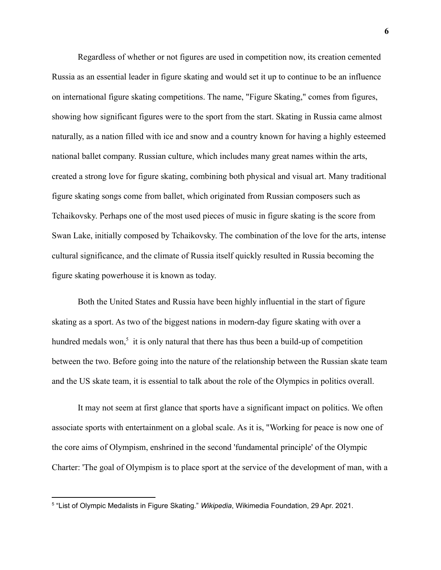Regardless of whether or not figures are used in competition now, its creation cemented Russia as an essential leader in figure skating and would set it up to continue to be an influence on international figure skating competitions. The name, "Figure Skating," comes from figures, showing how significant figures were to the sport from the start. Skating in Russia came almost naturally, as a nation filled with ice and snow and a country known for having a highly esteemed national ballet company. Russian culture, which includes many great names within the arts, created a strong love for figure skating, combining both physical and visual art. Many traditional figure skating songs come from ballet, which originated from Russian composers such as Tchaikovsky. Perhaps one of the most used pieces of music in figure skating is the score from Swan Lake, initially composed by Tchaikovsky. The combination of the love for the arts, intense cultural significance, and the climate of Russia itself quickly resulted in Russia becoming the figure skating powerhouse it is known as today.

Both the United States and Russia have been highly influential in the start of figure skating as a sport. As two of the biggest nations in modern-day figure skating with over a hundred medals won, $5$  it is only natural that there has thus been a build-up of competition between the two. Before going into the nature of the relationship between the Russian skate team and the US skate team, it is essential to talk about the role of the Olympics in politics overall.

It may not seem at first glance that sports have a significant impact on politics. We often associate sports with entertainment on a global scale. As it is, "Working for peace is now one of the core aims of Olympism, enshrined in the second 'fundamental principle' of the Olympic Charter: 'The goal of Olympism is to place sport at the service of the development of man, with a

<sup>5</sup> "List of Olympic Medalists in Figure Skating." *Wikipedia*, Wikimedia Foundation, 29 Apr. 2021.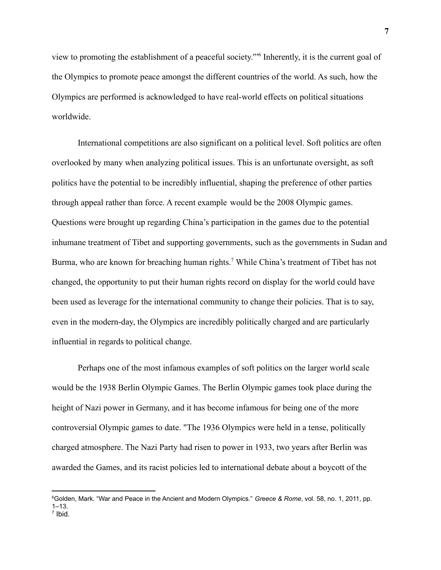view to promoting the establishment of a peaceful society.'"<sup>6</sup> Inherently, it is the current goal of the Olympics to promote peace amongst the different countries of the world. As such, how the Olympics are performed is acknowledged to have real-world effects on political situations worldwide.

International competitions are also significant on a political level. Soft politics are often overlooked by many when analyzing political issues. This is an unfortunate oversight, as soft politics have the potential to be incredibly influential, shaping the preference of other parties through appeal rather than force. A recent example would be the 2008 Olympic games. Questions were brought up regarding China's participation in the games due to the potential inhumane treatment of Tibet and supporting governments, such as the governments in Sudan and Burma, who are known for breaching human rights.<sup>7</sup> While China's treatment of Tibet has not changed, the opportunity to put their human rights record on display for the world could have been used as leverage for the international community to change their policies. That is to say, even in the modern-day, the Olympics are incredibly politically charged and are particularly influential in regards to political change.

Perhaps one of the most infamous examples of soft politics on the larger world scale would be the 1938 Berlin Olympic Games. The Berlin Olympic games took place during the height of Nazi power in Germany, and it has become infamous for being one of the more controversial Olympic games to date. "The 1936 Olympics were held in a tense, politically charged atmosphere. The [Nazi Party](https://www.britannica.com/topic/Nazi-Party) had risen to power in 1933, two years after Berlin was awarded the Games, and its racist policies led to international debate about a [boycott](https://www.merriam-webster.com/dictionary/boycott) of the

<sup>7</sup> Ibid. <sup>6</sup>Golden, Mark. "War and Peace in the Ancient and Modern Olympics." *Greece & Rome*, vol. 58, no. 1, 2011, pp.  $1 - 13$ .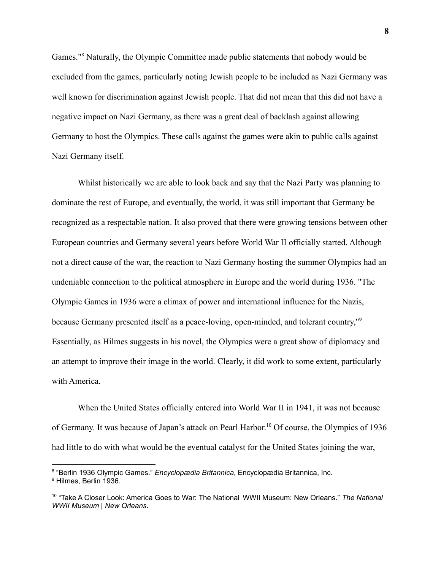Games."<sup>8</sup> Naturally, the Olympic Committee made public statements that nobody would be excluded from the games, particularly noting Jewish people to be included as Nazi Germany was well known for discrimination against Jewish people. That did not mean that this did not have a negative impact on Nazi Germany, as there was a great deal of backlash against allowing Germany to host the Olympics. These calls against the games were akin to public calls against Nazi Germany itself.

Whilst historically we are able to look back and say that the Nazi Party was planning to dominate the rest of Europe, and eventually, the world, it was still important that Germany be recognized as a respectable nation. It also proved that there were growing tensions between other European countries and Germany several years before World War II officially started. Although not a direct cause of the war, the reaction to Nazi Germany hosting the summer Olympics had an undeniable connection to the political atmosphere in Europe and the world during 1936. "The Olympic Games in 1936 were a climax of power and international influence for the Nazis, because Germany presented itself as a peace-loving, open-minded, and tolerant country,"<sup>9</sup> Essentially, as Hilmes suggests in his novel, the Olympics were a great show of diplomacy and an attempt to improve their image in the world. Clearly, it did work to some extent, particularly with America.

When the United States officially entered into World War II in 1941, it was not because of Germany. It was because of Japan's attack on Pearl Harbor. <sup>10</sup> Of course, the Olympics of 1936 had little to do with what would be the eventual catalyst for the United States joining the war,

<sup>9</sup> Hilmes, Berlin 1936. 8 "Berlin 1936 Olympic Games." *Encyclopædia Britannica*, Encyclopædia Britannica, Inc.

<sup>10</sup> "Take A Closer Look: America Goes to War: The National WWII Museum: New Orleans." *The National WWII Museum | New Orleans*.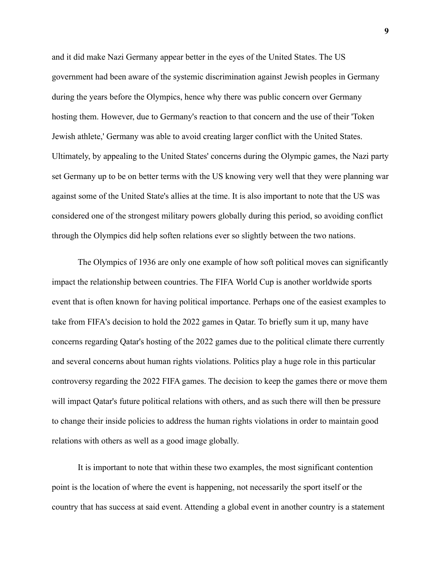and it did make Nazi Germany appear better in the eyes of the United States. The US government had been aware of the systemic discrimination against Jewish peoples in Germany during the years before the Olympics, hence why there was public concern over Germany hosting them. However, due to Germany's reaction to that concern and the use of their 'Token Jewish athlete,' Germany was able to avoid creating larger conflict with the United States. Ultimately, by appealing to the United States' concerns during the Olympic games, the Nazi party set Germany up to be on better terms with the US knowing very well that they were planning war against some of the United State's allies at the time. It is also important to note that the US was considered one of the strongest military powers globally during this period, so avoiding conflict through the Olympics did help soften relations ever so slightly between the two nations.

The Olympics of 1936 are only one example of how soft political moves can significantly impact the relationship between countries. The FIFA World Cup is another worldwide sports event that is often known for having political importance. Perhaps one of the easiest examples to take from FIFA's decision to hold the 2022 games in Qatar. To briefly sum it up, many have concerns regarding Qatar's hosting of the 2022 games due to the political climate there currently and several concerns about human rights violations. Politics play a huge role in this particular controversy regarding the 2022 FIFA games. The decision to keep the games there or move them will impact Qatar's future political relations with others, and as such there will then be pressure to change their inside policies to address the human rights violations in order to maintain good relations with others as well as a good image globally.

It is important to note that within these two examples, the most significant contention point is the location of where the event is happening, not necessarily the sport itself or the country that has success at said event. Attending a global event in another country is a statement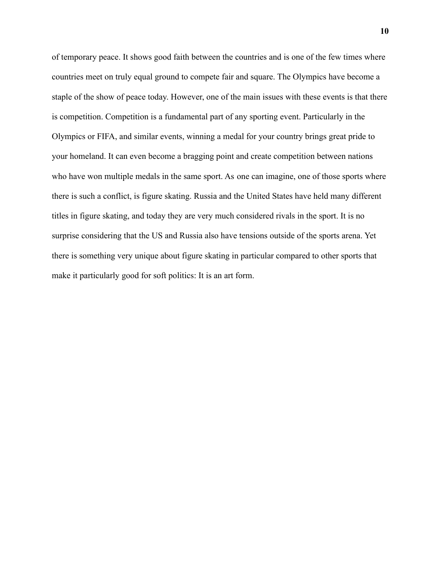of temporary peace. It shows good faith between the countries and is one of the few times where countries meet on truly equal ground to compete fair and square. The Olympics have become a staple of the show of peace today. However, one of the main issues with these events is that there is competition. Competition is a fundamental part of any sporting event. Particularly in the Olympics or FIFA, and similar events, winning a medal for your country brings great pride to your homeland. It can even become a bragging point and create competition between nations who have won multiple medals in the same sport. As one can imagine, one of those sports where there is such a conflict, is figure skating. Russia and the United States have held many different titles in figure skating, and today they are very much considered rivals in the sport. It is no surprise considering that the US and Russia also have tensions outside of the sports arena. Yet there is something very unique about figure skating in particular compared to other sports that make it particularly good for soft politics: It is an art form.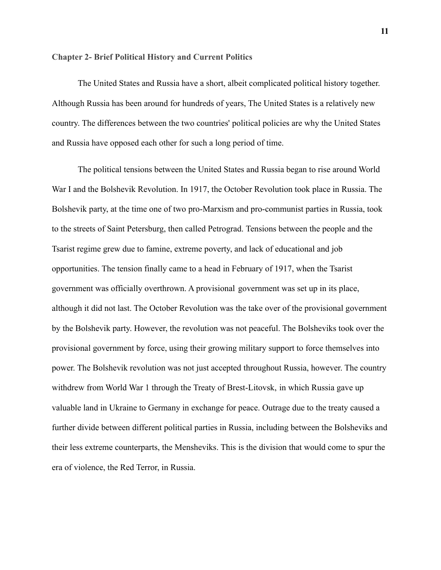### **Chapter 2- Brief Political History and Current Politics**

The United States and Russia have a short, albeit complicated political history together. Although Russia has been around for hundreds of years, The United States is a relatively new country. The differences between the two countries' political policies are why the United States and Russia have opposed each other for such a long period of time.

The political tensions between the United States and Russia began to rise around World War I and the Bolshevik Revolution. In 1917, the October Revolution took place in Russia. The Bolshevik party, at the time one of two pro-Marxism and pro-communist parties in Russia, took to the streets of Saint Petersburg, then called Petrograd. Tensions between the people and the Tsarist regime grew due to famine, extreme poverty, and lack of educational and job opportunities. The tension finally came to a head in February of 1917, when the Tsarist government was officially overthrown. A provisional government was set up in its place, although it did not last. The October Revolution was the take over of the provisional government by the Bolshevik party. However, the revolution was not peaceful. The Bolsheviks took over the provisional government by force, using their growing military support to force themselves into power. The Bolshevik revolution was not just accepted throughout Russia, however. The country withdrew from World War 1 through the Treaty of Brest-Litovsk, in which Russia gave up valuable land in Ukraine to Germany in exchange for peace. Outrage due to the treaty caused a further divide between different political parties in Russia, including between the Bolsheviks and their less extreme counterparts, the Mensheviks. This is the division that would come to spur the era of violence, the Red Terror, in Russia.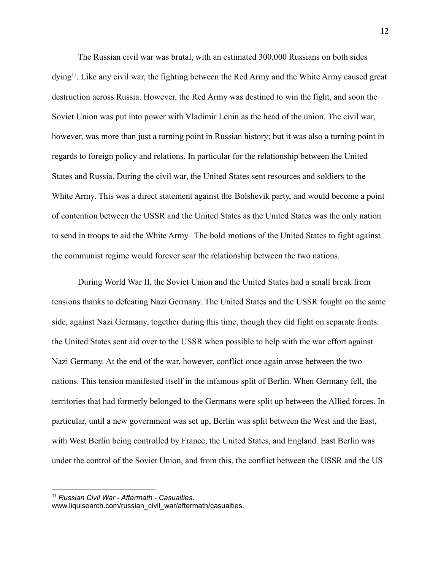The Russian civil war was brutal, with an estimated 300,000 Russians on both sides dying<sup>11</sup>. Like any civil war, the fighting between the Red Army and the White Army caused great destruction across Russia. However, the Red Army was destined to win the fight, and soon the Soviet Union was put into power with Vladimir Lenin as the head of the union. The civil war, however, was more than just a turning point in Russian history; but it was also a turning point in regards to foreign policy and relations. In particular for the relationship between the United States and Russia. During the civil war, the United States sent resources and soldiers to the White Army. This was a direct statement against the Bolshevik party, and would become a point of contention between the USSR and the United States as the United States was the only nation to send in troops to aid the White Army. The bold motions of the United States to fight against the communist regime would forever scar the relationship between the two nations.

During World War II, the Soviet Union and the United States had a small break from tensions thanks to defeating Nazi Germany. The United States and the USSR fought on the same side, against Nazi Germany, together during this time, though they did fight on separate fronts. the United States sent aid over to the USSR when possible to help with the war effort against Nazi Germany. At the end of the war, however, conflict once again arose between the two nations. This tension manifested itself in the infamous split of Berlin. When Germany fell, the territories that had formerly belonged to the Germans were split up between the Allied forces. In particular, until a new government was set up, Berlin was split between the West and the East, with West Berlin being controlled by France, the United States, and England. East Berlin was under the control of the Soviet Union, and from this, the conflict between the USSR and the US

<sup>11</sup> *Russian Civil War - Aftermath - Casualties*.

www.liquisearch.com/russian\_civil\_war/aftermath/casualties.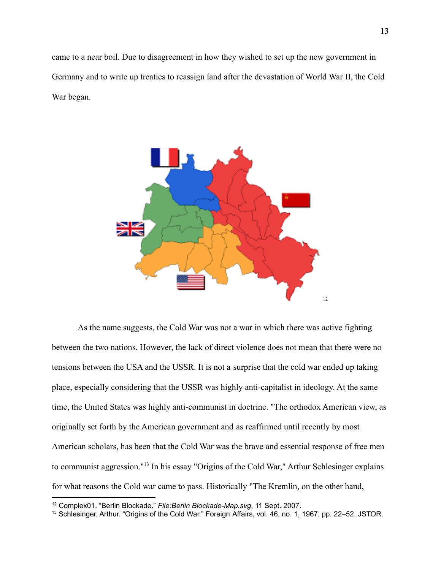came to a near boil. Due to disagreement in how they wished to set up the new government in Germany and to write up treaties to reassign land after the devastation of World War II, the Cold War began.



As the name suggests, the Cold War was not a war in which there was active fighting between the two nations. However, the lack of direct violence does not mean that there were no tensions between the USA and the USSR. It is not a surprise that the cold war ended up taking place, especially considering that the USSR was highly anti-capitalist in ideology. At the same time, the United States was highly anti-communist in doctrine. "The orthodox American view, as originally set forth by the American government and as reaffirmed until recently by most American scholars, has been that the Cold War was the brave and essential response of free men to communist aggression."<sup>13</sup> In his essay "Origins of the Cold War," Arthur Schlesinger explains for what reasons the Cold war came to pass. Historically "The Kremlin, on the other hand,

<sup>12</sup> Complex01. "Berlin Blockade." *File:Berlin Blockade-Map.svg*, 11 Sept. 2007.

<sup>13</sup> Schlesinger, Arthur. "Origins of the Cold War." Foreign Affairs, vol. 46, no. 1, 1967, pp. 22–52. JSTOR.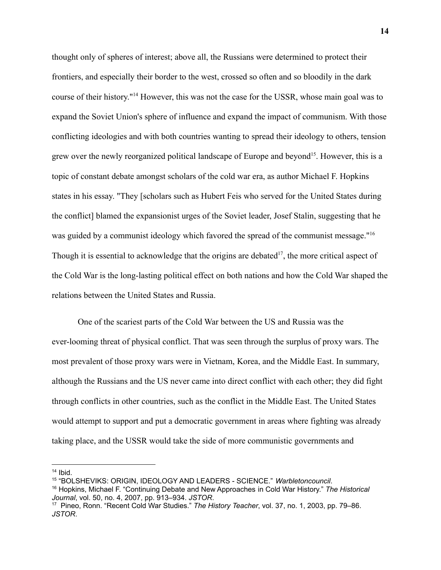thought only of spheres of interest; above all, the Russians were determined to protect their frontiers, and especially their border to the west, crossed so often and so bloodily in the dark course of their history."<sup>14</sup> However, this was not the case for the USSR, whose main goal was to expand the Soviet Union's sphere of influence and expand the impact of communism. With those conflicting ideologies and with both countries wanting to spread their ideology to others, tension grew over the newly reorganized political landscape of Europe and beyond<sup>15</sup>. However, this is a topic of constant debate amongst scholars of the cold war era, as author Michael F. Hopkins states in his essay. "They [scholars such as Hubert Feis who served for the United States during the conflict] blamed the expansionist urges of the Soviet leader, Josef Stalin, suggesting that he was guided by a communist ideology which favored the spread of the communist message."<sup>16</sup> Though it is essential to acknowledge that the origins are debated $17$ , the more critical aspect of the Cold War is the long-lasting political effect on both nations and how the Cold War shaped the relations between the United States and Russia.

One of the scariest parts of the Cold War between the US and Russia was the ever-looming threat of physical conflict. That was seen through the surplus of proxy wars. The most prevalent of those proxy wars were in Vietnam, Korea, and the Middle East. In summary, although the Russians and the US never came into direct conflict with each other; they did fight through conflicts in other countries, such as the conflict in the Middle East. The United States would attempt to support and put a democratic government in areas where fighting was already taking place, and the USSR would take the side of more communistic governments and

 $14$  Ibid.

<sup>15</sup> "BOLSHEVIKS: ORIGIN, IDEOLOGY AND LEADERS - SCIENCE." *Warbletoncouncil*.

<sup>16</sup> Hopkins, Michael F. "Continuing Debate and New Approaches in Cold War History." *The Historical Journal*, vol. 50, no. 4, 2007, pp. 913–934. *JSTOR*.

<sup>17</sup> Pineo, Ronn. "Recent Cold War Studies." *The History Teacher*, vol. 37, no. 1, 2003, pp. 79–86. *JSTOR*.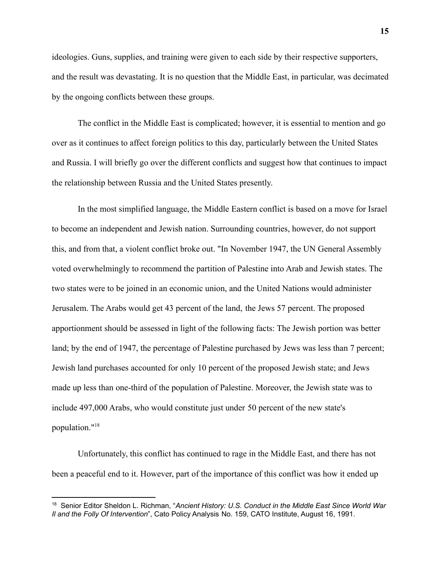ideologies. Guns, supplies, and training were given to each side by their respective supporters, and the result was devastating. It is no question that the Middle East, in particular, was decimated by the ongoing conflicts between these groups.

The conflict in the Middle East is complicated; however, it is essential to mention and go over as it continues to affect foreign politics to this day, particularly between the United States and Russia. I will briefly go over the different conflicts and suggest how that continues to impact the relationship between Russia and the United States presently.

In the most simplified language, the Middle Eastern conflict is based on a move for Israel to become an independent and Jewish nation. Surrounding countries, however, do not support this, and from that, a violent conflict broke out. "In November 1947, the UN General Assembly voted overwhelmingly to recommend the partition of Palestine into Arab and Jewish states. The two states were to be joined in an economic union, and the United Nations would administer Jerusalem. The Arabs would get 43 percent of the land, the Jews 57 percent. The proposed apportionment should be assessed in light of the following facts: The Jewish portion was better land; by the end of 1947, the percentage of Palestine purchased by Jews was less than 7 percent; Jewish land purchases accounted for only 10 percent of the proposed Jewish state; and Jews made up less than one-third of the population of Palestine. Moreover, the Jewish state was to include 497,000 Arabs, who would constitute just under 50 percent of the new state's population."<sup>18</sup>

Unfortunately, this conflict has continued to rage in the Middle East, and there has not been a peaceful end to it. However, part of the importance of this conflict was how it ended up

<sup>18</sup> Senior Editor Sheldon L. Richman, "*Ancient History: U.S. [Conduct](http://www.cato.org/pubs/pas/pa-159.html) in the Middle East Since World War Il and the Folly Of [Intervention](http://www.cato.org/pubs/pas/pa-159.html)*", Cato Policy Analysis No. 159, CATO Institute, August 16, 1991.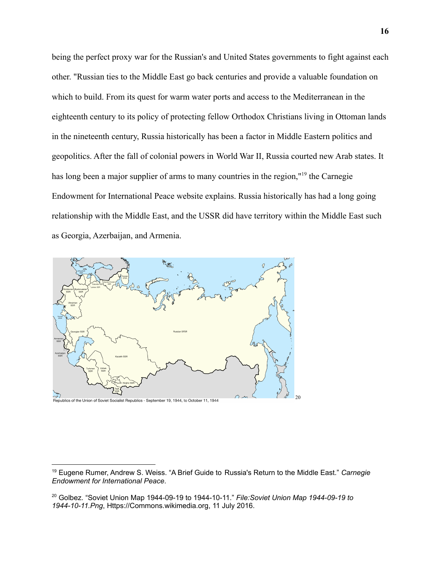being the perfect proxy war for the Russian's and United States governments to fight against each other. "Russian ties to the Middle East go back centuries and provide a valuable foundation on which to build. From its quest for warm water ports and access to the Mediterranean in the eighteenth century to its policy of protecting fellow Orthodox Christians living in Ottoman lands in the nineteenth century, Russia historically has been a factor in Middle Eastern politics and geopolitics. After the fall of colonial powers in World War II, Russia courted new Arab states. It has long been a major supplier of arms to many countries in the region,"<sup>19</sup> the Carnegie Endowment for International Peace website explains. Russia historically has had a long going relationship with the Middle East, and the USSR did have territory within the Middle East such as Georgia, Azerbaijan, and Armenia.



<sup>19</sup> Eugene Rumer, Andrew S. Weiss. "A Brief Guide to Russia's Return to the Middle East." *Carnegie Endowment for International Peace*.

<sup>20</sup> Golbez. "Soviet Union Map 1944-09-19 to 1944-10-11." *File:Soviet Union Map 1944-09-19 to 1944-10-11.Png*, Https://Commons.wikimedia.org, 11 July 2016.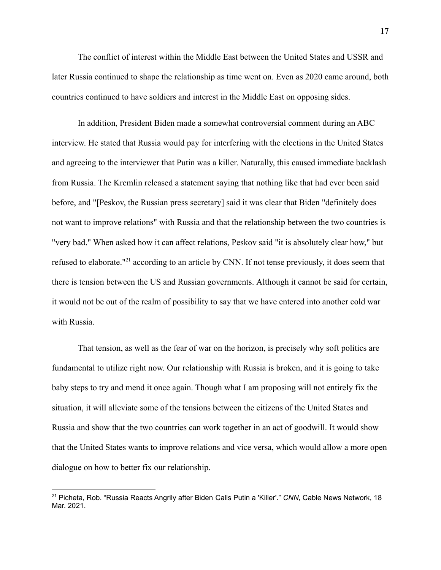The conflict of interest within the Middle East between the United States and USSR and later Russia continued to shape the relationship as time went on. Even as 2020 came around, both countries continued to have soldiers and interest in the Middle East on opposing sides.

In addition, President Biden made a somewhat controversial comment during an ABC interview. He stated that Russia would pay for interfering with the elections in the United States and agreeing to the interviewer that Putin was a killer. Naturally, this caused immediate backlash from Russia. The Kremlin released a statement saying that nothing like that had ever been said before, and "[Peskov, the Russian press secretary] said it was clear that Biden "definitely does not want to improve relations" with Russia and that the relationship between the two countries is "very bad." When asked how it can affect relations, Peskov said "it is absolutely clear how," but refused to elaborate."<sup>21</sup> according to an article by CNN. If not tense previously, it does seem that there is tension between the US and Russian governments. Although it cannot be said for certain, it would not be out of the realm of possibility to say that we have entered into another cold war with Russia.

That tension, as well as the fear of war on the horizon, is precisely why soft politics are fundamental to utilize right now. Our relationship with Russia is broken, and it is going to take baby steps to try and mend it once again. Though what I am proposing will not entirely fix the situation, it will alleviate some of the tensions between the citizens of the United States and Russia and show that the two countries can work together in an act of goodwill. It would show that the United States wants to improve relations and vice versa, which would allow a more open dialogue on how to better fix our relationship.

<sup>21</sup> Picheta, Rob. "Russia Reacts Angrily after Biden Calls Putin a 'Killer'." *CNN*, Cable News Network, 18 Mar. 2021.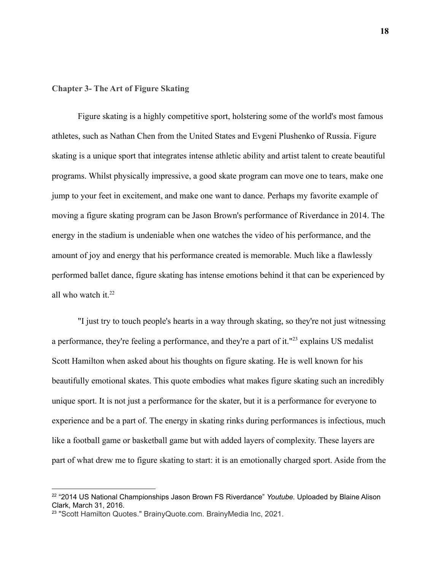# **Chapter 3- The Art of Figure Skating**

Figure skating is a highly competitive sport, holstering some of the world's most famous athletes, such as Nathan Chen from the United States and Evgeni Plushenko of Russia. Figure skating is a unique sport that integrates intense athletic ability and artist talent to create beautiful programs. Whilst physically impressive, a good skate program can move one to tears, make one jump to your feet in excitement, and make one want to dance. Perhaps my favorite example of moving a figure skating program can be Jason Brown's performance of Riverdance in 2014. The energy in the stadium is undeniable when one watches the video of his performance, and the amount of joy and energy that his performance created is memorable. Much like a flawlessly performed ballet dance, figure skating has intense emotions behind it that can be experienced by all who watch it. $22$ 

"I just try to touch people's hearts in a way through skating, so they're not just witnessing a performance, they're feeling a performance, and they're a part of it."<sup>23</sup> explains US medalist Scott Hamilton when asked about his thoughts on figure skating. He is well known for his beautifully emotional skates. This quote embodies what makes figure skating such an incredibly unique sport. It is not just a performance for the skater, but it is a performance for everyone to experience and be a part of. The energy in skating rinks during performances is infectious, much like a football game or basketball game but with added layers of complexity. These layers are part of what drew me to figure skating to start: it is an emotionally charged sport. Aside from the

<sup>22</sup> "2014 US National Championships Jason Brown FS Riverdance" *Youtube.* Uploaded by Blaine Alison Clark, March 31, 2016.

<sup>&</sup>lt;sup>23</sup> "Scott Hamilton Quotes." BrainyQuote.com. BrainyMedia Inc, 2021.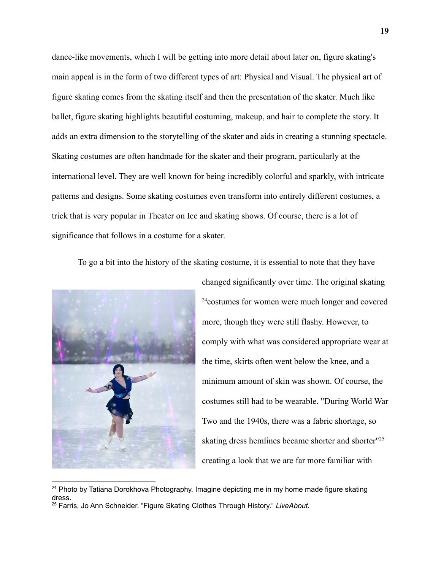dance-like movements, which I will be getting into more detail about later on, figure skating's main appeal is in the form of two different types of art: Physical and Visual. The physical art of figure skating comes from the skating itself and then the presentation of the skater. Much like ballet, figure skating highlights beautiful costuming, makeup, and hair to complete the story. It adds an extra dimension to the storytelling of the skater and aids in creating a stunning spectacle. Skating costumes are often handmade for the skater and their program, particularly at the international level. They are well known for being incredibly colorful and sparkly, with intricate patterns and designs. Some skating costumes even transform into entirely different costumes, a trick that is very popular in Theater on Ice and skating shows. Of course, there is a lot of significance that follows in a costume for a skater.

To go a bit into the history of the skating costume, it is essential to note that they have



changed significantly over time. The original skating <sup>24</sup>costumes for women were much longer and covered more, though they were still flashy. However, to comply with what was considered appropriate wear at the time, skirts often went below the knee, and a minimum amount of skin was shown. Of course, the costumes still had to be wearable. "During World War Two and the 1940s, there was a fabric shortage, so skating dress hemlines became shorter and shorter<sup>"25</sup> creating a look that we are far more familiar with

 $24$  Photo by Tatiana Dorokhova Photography. Imagine depicting me in my home made figure skating dress.

<sup>25</sup> Farris, Jo Ann Schneider. "Figure Skating Clothes Through History." *LiveAbout*.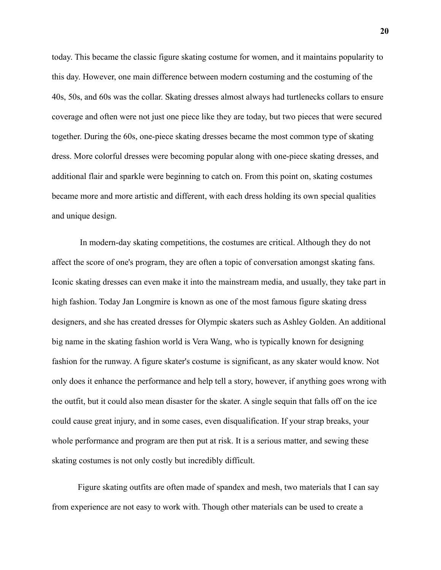today. This became the classic figure skating costume for women, and it maintains popularity to this day. However, one main difference between modern costuming and the costuming of the 40s, 50s, and 60s was the collar. Skating dresses almost always had turtlenecks collars to ensure coverage and often were not just one piece like they are today, but two pieces that were secured together. During the 60s, one-piece skating dresses became the most common type of skating dress. More colorful dresses were becoming popular along with one-piece skating dresses, and additional flair and sparkle were beginning to catch on. From this point on, skating costumes became more and more artistic and different, with each dress holding its own special qualities and unique design.

In modern-day skating competitions, the costumes are critical. Although they do not affect the score of one's program, they are often a topic of conversation amongst skating fans. Iconic skating dresses can even make it into the mainstream media, and usually, they take part in high fashion. Today Jan Longmire is known as one of the most famous figure skating dress designers, and she has created dresses for Olympic skaters such as Ashley Golden. An additional big name in the skating fashion world is Vera Wang, who is typically known for designing fashion for the runway. A figure skater's costume is significant, as any skater would know. Not only does it enhance the performance and help tell a story, however, if anything goes wrong with the outfit, but it could also mean disaster for the skater. A single sequin that falls off on the ice could cause great injury, and in some cases, even disqualification. If your strap breaks, your whole performance and program are then put at risk. It is a serious matter, and sewing these skating costumes is not only costly but incredibly difficult.

Figure skating outfits are often made of spandex and mesh, two materials that I can say from experience are not easy to work with. Though other materials can be used to create a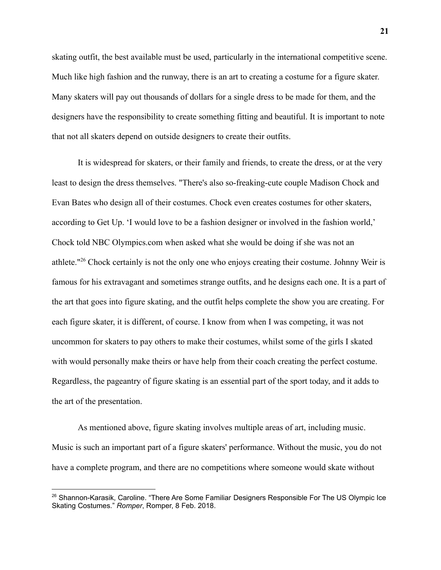skating outfit, the best available must be used, particularly in the international competitive scene. Much like high fashion and the runway, there is an art to creating a costume for a figure skater. Many skaters will pay out thousands of dollars for a single dress to be made for them, and the designers have the responsibility to create something fitting and beautiful. It is important to note that not all skaters depend on outside designers to create their outfits.

It is widespread for skaters, or their family and friends, to create the dress, or at the very least to design the dress themselves. "There's also [so-freaking-cute couple Madison Chock and](https://www.popsugar.com/fitness/Who-Madison-Chock-Evan-Bates-44476190) [Evan Bates](https://www.popsugar.com/fitness/Who-Madison-Chock-Evan-Bates-44476190) who design all of their costumes. Chock even [creates costumes for other skaters,](http://www.wegetup.com/skaters/madison-chock/) according to Get Up. '[I would love to be a fashion](http://www.nbcolympics.com/news/qa-madison-chock-olympic-figure-skating) designer or involved in the fashion world,' Chock told NBC Olympics.com when asked what she would be doing if she was not an athlete."<sup>26</sup> Chock certainly is not the only one who enjoys creating their costume. Johnny Weir is famous for his extravagant and sometimes strange outfits, and he designs each one. It is a part of the art that goes into figure skating, and the outfit helps complete the show you are creating. For each figure skater, it is different, of course. I know from when I was competing, it was not uncommon for skaters to pay others to make their costumes, whilst some of the girls I skated with would personally make theirs or have help from their coach creating the perfect costume. Regardless, the pageantry of figure skating is an essential part of the sport today, and it adds to the art of the presentation.

As mentioned above, figure skating involves multiple areas of art, including music. Music is such an important part of a figure skaters' performance. Without the music, you do not have a complete program, and there are no competitions where someone would skate without

<sup>&</sup>lt;sup>26</sup> Shannon-Karasik, Caroline. "There Are Some Familiar Designers Responsible For The US Olympic Ice Skating Costumes." *Romper*, Romper, 8 Feb. 2018.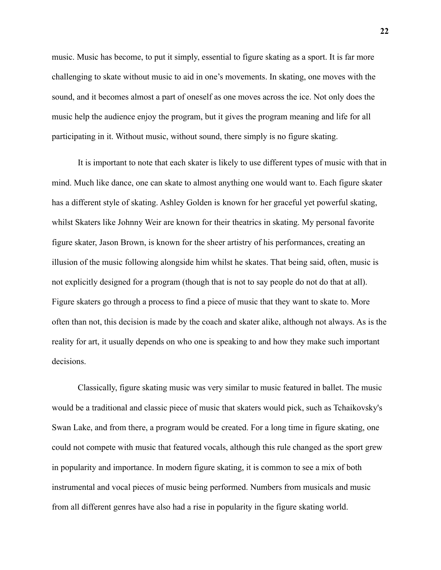music. Music has become, to put it simply, essential to figure skating as a sport. It is far more challenging to skate without music to aid in one's movements. In skating, one moves with the sound, and it becomes almost a part of oneself as one moves across the ice. Not only does the music help the audience enjoy the program, but it gives the program meaning and life for all participating in it. Without music, without sound, there simply is no figure skating.

It is important to note that each skater is likely to use different types of music with that in mind. Much like dance, one can skate to almost anything one would want to. Each figure skater has a different style of skating. Ashley Golden is known for her graceful yet powerful skating, whilst Skaters like Johnny Weir are known for their theatrics in skating. My personal favorite figure skater, Jason Brown, is known for the sheer artistry of his performances, creating an illusion of the music following alongside him whilst he skates. That being said, often, music is not explicitly designed for a program (though that is not to say people do not do that at all). Figure skaters go through a process to find a piece of music that they want to skate to. More often than not, this decision is made by the coach and skater alike, although not always. As is the reality for art, it usually depends on who one is speaking to and how they make such important decisions.

Classically, figure skating music was very similar to music featured in ballet. The music would be a traditional and classic piece of music that skaters would pick, such as Tchaikovsky's Swan Lake, and from there, a program would be created. For a long time in figure skating, one could not compete with music that featured vocals, although this rule changed as the sport grew in popularity and importance. In modern figure skating, it is common to see a mix of both instrumental and vocal pieces of music being performed. Numbers from musicals and music from all different genres have also had a rise in popularity in the figure skating world.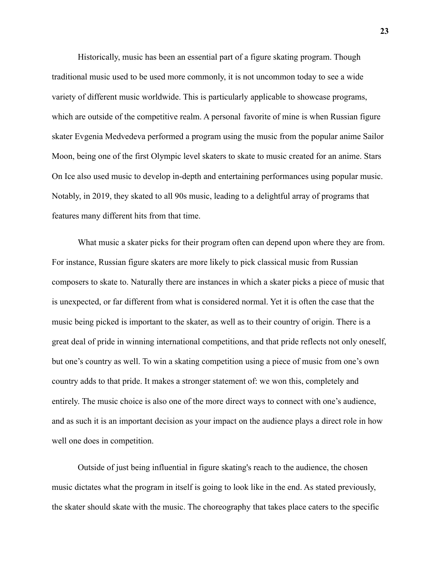Historically, music has been an essential part of a figure skating program. Though traditional music used to be used more commonly, it is not uncommon today to see a wide variety of different music worldwide. This is particularly applicable to showcase programs, which are outside of the competitive realm. A personal favorite of mine is when Russian figure skater Evgenia Medvedeva performed a program using the music from the popular anime Sailor Moon, being one of the first Olympic level skaters to skate to music created for an anime. Stars On Ice also used music to develop in-depth and entertaining performances using popular music. Notably, in 2019, they skated to all 90s music, leading to a delightful array of programs that features many different hits from that time.

What music a skater picks for their program often can depend upon where they are from. For instance, Russian figure skaters are more likely to pick classical music from Russian composers to skate to. Naturally there are instances in which a skater picks a piece of music that is unexpected, or far different from what is considered normal. Yet it is often the case that the music being picked is important to the skater, as well as to their country of origin. There is a great deal of pride in winning international competitions, and that pride reflects not only oneself, but one's country as well. To win a skating competition using a piece of music from one's own country adds to that pride. It makes a stronger statement of: we won this, completely and entirely. The music choice is also one of the more direct ways to connect with one's audience, and as such it is an important decision as your impact on the audience plays a direct role in how well one does in competition.

Outside of just being influential in figure skating's reach to the audience, the chosen music dictates what the program in itself is going to look like in the end. As stated previously, the skater should skate with the music. The choreography that takes place caters to the specific

**23**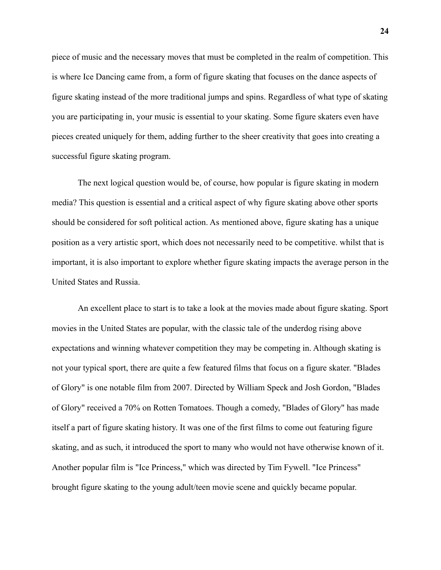piece of music and the necessary moves that must be completed in the realm of competition. This is where Ice Dancing came from, a form of figure skating that focuses on the dance aspects of figure skating instead of the more traditional jumps and spins. Regardless of what type of skating you are participating in, your music is essential to your skating. Some figure skaters even have pieces created uniquely for them, adding further to the sheer creativity that goes into creating a successful figure skating program.

The next logical question would be, of course, how popular is figure skating in modern media? This question is essential and a critical aspect of why figure skating above other sports should be considered for soft political action. As mentioned above, figure skating has a unique position as a very artistic sport, which does not necessarily need to be competitive. whilst that is important, it is also important to explore whether figure skating impacts the average person in the United States and Russia.

An excellent place to start is to take a look at the movies made about figure skating. Sport movies in the United States are popular, with the classic tale of the underdog rising above expectations and winning whatever competition they may be competing in. Although skating is not your typical sport, there are quite a few featured films that focus on a figure skater. "Blades of Glory" is one notable film from 2007. Directed by William Speck and Josh Gordon, "Blades of Glory" received a 70% on Rotten Tomatoes. Though a comedy, "Blades of Glory" has made itself a part of figure skating history. It was one of the first films to come out featuring figure skating, and as such, it introduced the sport to many who would not have otherwise known of it. Another popular film is "Ice Princess," which was directed by Tim Fywell. "Ice Princess" brought figure skating to the young adult/teen movie scene and quickly became popular.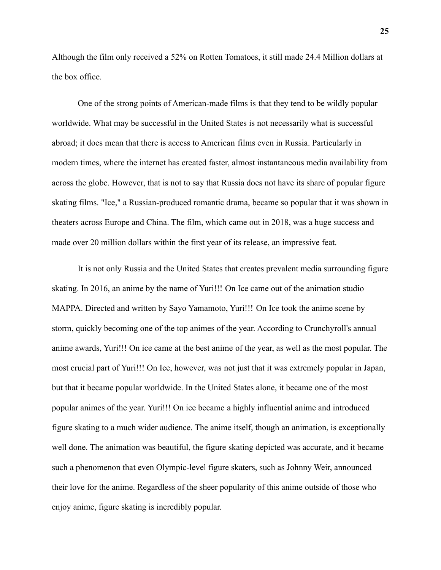Although the film only received a 52% on Rotten Tomatoes, it still made 24.4 Million dollars at the box office.

One of the strong points of American-made films is that they tend to be wildly popular worldwide. What may be successful in the United States is not necessarily what is successful abroad; it does mean that there is access to American films even in Russia. Particularly in modern times, where the internet has created faster, almost instantaneous media availability from across the globe. However, that is not to say that Russia does not have its share of popular figure skating films. "Ice," a Russian-produced romantic drama, became so popular that it was shown in theaters across Europe and China. The film, which came out in 2018, was a huge success and made over 20 million dollars within the first year of its release, an impressive feat.

It is not only Russia and the United States that creates prevalent media surrounding figure skating. In 2016, an anime by the name of Yuri!!! On Ice came out of the animation studio MAPPA. Directed and written by Sayo Yamamoto, Yuri!!! On Ice took the anime scene by storm, quickly becoming one of the top animes of the year. According to Crunchyroll's annual anime awards, Yuri!!! On ice came at the best anime of the year, as well as the most popular. The most crucial part of Yuri!!! On Ice, however, was not just that it was extremely popular in Japan, but that it became popular worldwide. In the United States alone, it became one of the most popular animes of the year. Yuri!!! On ice became a highly influential anime and introduced figure skating to a much wider audience. The anime itself, though an animation, is exceptionally well done. The animation was beautiful, the figure skating depicted was accurate, and it became such a phenomenon that even Olympic-level figure skaters, such as Johnny Weir, announced their love for the anime. Regardless of the sheer popularity of this anime outside of those who enjoy anime, figure skating is incredibly popular.

**25**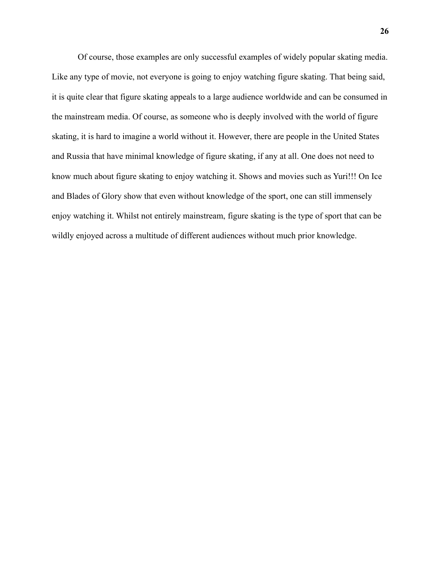Of course, those examples are only successful examples of widely popular skating media. Like any type of movie, not everyone is going to enjoy watching figure skating. That being said, it is quite clear that figure skating appeals to a large audience worldwide and can be consumed in the mainstream media. Of course, as someone who is deeply involved with the world of figure skating, it is hard to imagine a world without it. However, there are people in the United States and Russia that have minimal knowledge of figure skating, if any at all. One does not need to know much about figure skating to enjoy watching it. Shows and movies such as Yuri!!! On Ice and Blades of Glory show that even without knowledge of the sport, one can still immensely enjoy watching it. Whilst not entirely mainstream, figure skating is the type of sport that can be wildly enjoyed across a multitude of different audiences without much prior knowledge.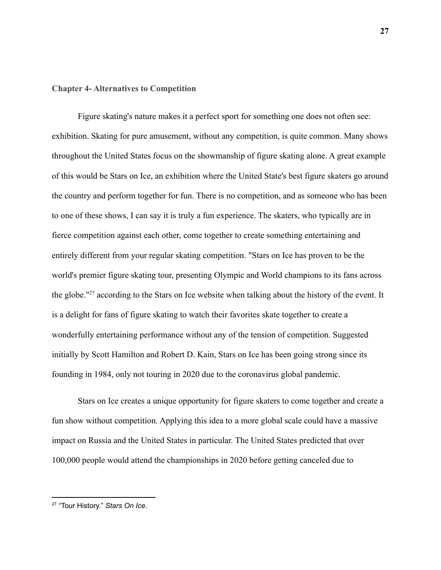# **Chapter 4- Alternatives to Competition**

Figure skating's nature makes it a perfect sport for something one does not often see: exhibition. Skating for pure amusement, without any competition, is quite common. Many shows throughout the United States focus on the showmanship of figure skating alone. A great example of this would be Stars on Ice, an exhibition where the United State's best figure skaters go around the country and perform together for fun. There is no competition, and as someone who has been to one of these shows, I can say it is truly a fun experience. The skaters, who typically are in fierce competition against each other, come together to create something entertaining and entirely different from your regular skating competition. "Stars on Ice has proven to be the world's premier figure skating tour, presenting Olympic and World champions to its fans across the globe."<sup>27</sup> according to the Stars on Ice website when talking about the history of the event. It is a delight for fans of figure skating to watch their favorites skate together to create a wonderfully entertaining performance without any of the tension of competition. Suggested initially by Scott Hamilton and Robert D. Kain, Stars on Ice has been going strong since its founding in 1984, only not touring in 2020 due to the coronavirus global pandemic.

Stars on Ice creates a unique opportunity for figure skaters to come together and create a fun show without competition. Applying this idea to a more global scale could have a massive impact on Russia and the United States in particular. The United States predicted that over 100,000 people would attend the championships in 2020 before getting canceled due to

<sup>27</sup> "Tour History." *Stars On Ice*.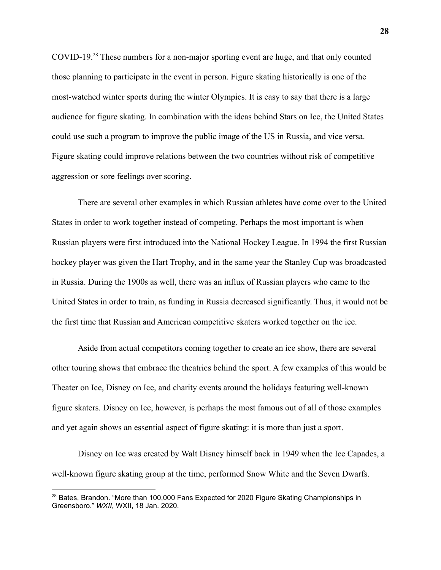COVID-19.<sup>28</sup> These numbers for a non-major sporting event are huge, and that only counted those planning to participate in the event in person. Figure skating historically is one of the most-watched winter sports during the winter Olympics. It is easy to say that there is a large audience for figure skating. In combination with the ideas behind Stars on Ice, the United States could use such a program to improve the public image of the US in Russia, and vice versa. Figure skating could improve relations between the two countries without risk of competitive aggression or sore feelings over scoring.

There are several other examples in which Russian athletes have come over to the United States in order to work together instead of competing. Perhaps the most important is when Russian players were first introduced into the National Hockey League. In 1994 the first Russian hockey player was given the Hart Trophy, and in the same year the Stanley Cup was broadcasted in Russia. During the 1900s as well, there was an influx of Russian players who came to the United States in order to train, as funding in Russia decreased significantly. Thus, it would not be the first time that Russian and American competitive skaters worked together on the ice.

Aside from actual competitors coming together to create an ice show, there are several other touring shows that embrace the theatrics behind the sport. A few examples of this would be Theater on Ice, Disney on Ice, and charity events around the holidays featuring well-known figure skaters. Disney on Ice, however, is perhaps the most famous out of all of those examples and yet again shows an essential aspect of figure skating: it is more than just a sport.

Disney on Ice was created by Walt Disney himself back in 1949 when the Ice Capades, a well-known figure skating group at the time, performed Snow White and the Seven Dwarfs.

<sup>&</sup>lt;sup>28</sup> Bates, Brandon. "More than 100,000 Fans Expected for 2020 Figure Skating Championships in Greensboro." *WXII*, WXII, 18 Jan. 2020.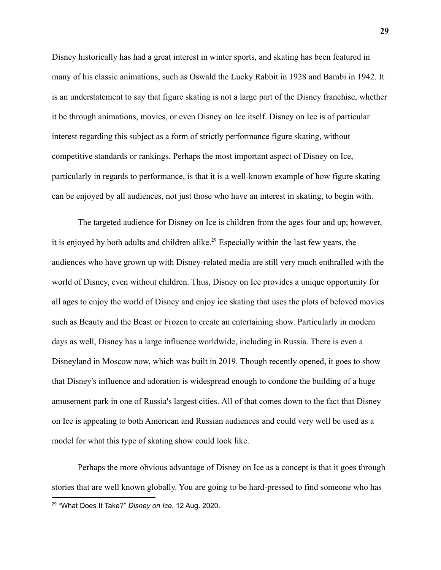Disney historically has had a great interest in winter sports, and skating has been featured in many of his classic animations, such as Oswald the Lucky Rabbit in 1928 and Bambi in 1942. It is an understatement to say that figure skating is not a large part of the Disney franchise, whether it be through animations, movies, or even Disney on Ice itself. Disney on Ice is of particular interest regarding this subject as a form of strictly performance figure skating, without competitive standards or rankings. Perhaps the most important aspect of Disney on Ice, particularly in regards to performance, is that it is a well-known example of how figure skating can be enjoyed by all audiences, not just those who have an interest in skating, to begin with.

The targeted audience for Disney on Ice is children from the ages four and up; however, it is enjoyed by both adults and children alike.<sup>29</sup> Especially within the last few years, the audiences who have grown up with Disney-related media are still very much enthralled with the world of Disney, even without children. Thus, Disney on Ice provides a unique opportunity for all ages to enjoy the world of Disney and enjoy ice skating that uses the plots of beloved movies such as Beauty and the Beast or Frozen to create an entertaining show. Particularly in modern days as well, Disney has a large influence worldwide, including in Russia. There is even a Disneyland in Moscow now, which was built in 2019. Though recently opened, it goes to show that Disney's influence and adoration is widespread enough to condone the building of a huge amusement park in one of Russia's largest cities. All of that comes down to the fact that Disney on Ice is appealing to both American and Russian audiences and could very well be used as a model for what this type of skating show could look like.

Perhaps the more obvious advantage of Disney on Ice as a concept is that it goes through stories that are well known globally. You are going to be hard-pressed to find someone who has 29 "What Does It Take?" *Disney on Ice*, 12 Aug. 2020.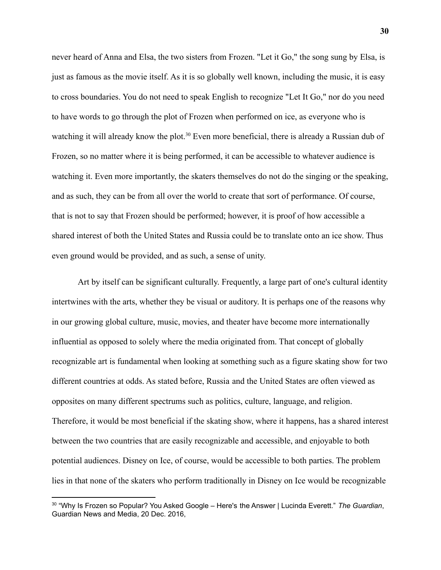never heard of Anna and Elsa, the two sisters from Frozen. "Let it Go," the song sung by Elsa, is just as famous as the movie itself. As it is so globally well known, including the music, it is easy to cross boundaries. You do not need to speak English to recognize "Let It Go," nor do you need to have words to go through the plot of Frozen when performed on ice, as everyone who is watching it will already know the plot.<sup>30</sup> Even more beneficial, there is already a Russian dub of Frozen, so no matter where it is being performed, it can be accessible to whatever audience is watching it. Even more importantly, the skaters themselves do not do the singing or the speaking, and as such, they can be from all over the world to create that sort of performance. Of course, that is not to say that Frozen should be performed; however, it is proof of how accessible a shared interest of both the United States and Russia could be to translate onto an ice show. Thus even ground would be provided, and as such, a sense of unity.

Art by itself can be significant culturally. Frequently, a large part of one's cultural identity intertwines with the arts, whether they be visual or auditory. It is perhaps one of the reasons why in our growing global culture, music, movies, and theater have become more internationally influential as opposed to solely where the media originated from. That concept of globally recognizable art is fundamental when looking at something such as a figure skating show for two different countries at odds. As stated before, Russia and the United States are often viewed as opposites on many different spectrums such as politics, culture, language, and religion. Therefore, it would be most beneficial if the skating show, where it happens, has a shared interest between the two countries that are easily recognizable and accessible, and enjoyable to both potential audiences. Disney on Ice, of course, would be accessible to both parties. The problem lies in that none of the skaters who perform traditionally in Disney on Ice would be recognizable

<sup>30</sup> "Why Is Frozen so Popular? You Asked Google – Here's the Answer | Lucinda Everett." *The Guardian*, Guardian News and Media, 20 Dec. 2016,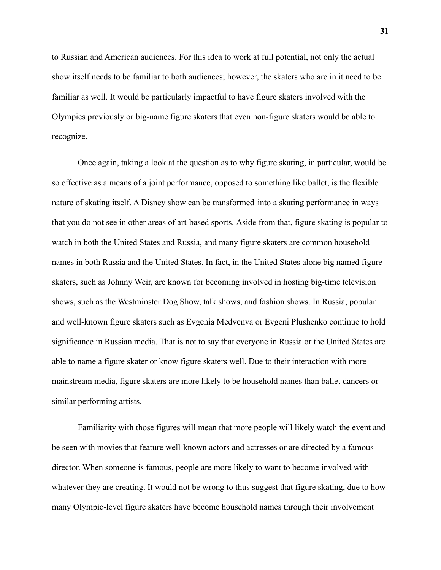to Russian and American audiences. For this idea to work at full potential, not only the actual show itself needs to be familiar to both audiences; however, the skaters who are in it need to be familiar as well. It would be particularly impactful to have figure skaters involved with the Olympics previously or big-name figure skaters that even non-figure skaters would be able to recognize.

Once again, taking a look at the question as to why figure skating, in particular, would be so effective as a means of a joint performance, opposed to something like ballet, is the flexible nature of skating itself. A Disney show can be transformed into a skating performance in ways that you do not see in other areas of art-based sports. Aside from that, figure skating is popular to watch in both the United States and Russia, and many figure skaters are common household names in both Russia and the United States. In fact, in the United States alone big named figure skaters, such as Johnny Weir, are known for becoming involved in hosting big-time television shows, such as the Westminster Dog Show, talk shows, and fashion shows. In Russia, popular and well-known figure skaters such as Evgenia Medvenva or Evgeni Plushenko continue to hold significance in Russian media. That is not to say that everyone in Russia or the United States are able to name a figure skater or know figure skaters well. Due to their interaction with more mainstream media, figure skaters are more likely to be household names than ballet dancers or similar performing artists.

Familiarity with those figures will mean that more people will likely watch the event and be seen with movies that feature well-known actors and actresses or are directed by a famous director. When someone is famous, people are more likely to want to become involved with whatever they are creating. It would not be wrong to thus suggest that figure skating, due to how many Olympic-level figure skaters have become household names through their involvement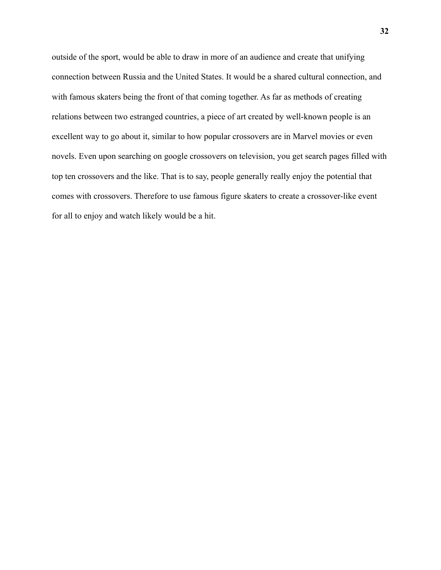outside of the sport, would be able to draw in more of an audience and create that unifying connection between Russia and the United States. It would be a shared cultural connection, and with famous skaters being the front of that coming together. As far as methods of creating relations between two estranged countries, a piece of art created by well-known people is an excellent way to go about it, similar to how popular crossovers are in Marvel movies or even novels. Even upon searching on google crossovers on television, you get search pages filled with top ten crossovers and the like. That is to say, people generally really enjoy the potential that comes with crossovers. Therefore to use famous figure skaters to create a crossover-like event for all to enjoy and watch likely would be a hit.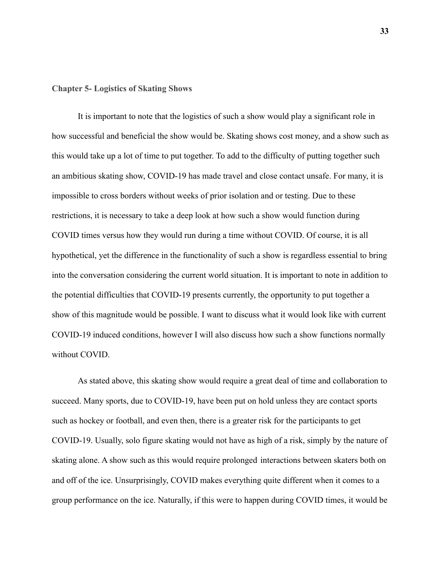### **Chapter 5- Logistics of Skating Shows**

It is important to note that the logistics of such a show would play a significant role in how successful and beneficial the show would be. Skating shows cost money, and a show such as this would take up a lot of time to put together. To add to the difficulty of putting together such an ambitious skating show, COVID-19 has made travel and close contact unsafe. For many, it is impossible to cross borders without weeks of prior isolation and or testing. Due to these restrictions, it is necessary to take a deep look at how such a show would function during COVID times versus how they would run during a time without COVID. Of course, it is all hypothetical, yet the difference in the functionality of such a show is regardless essential to bring into the conversation considering the current world situation. It is important to note in addition to the potential difficulties that COVID-19 presents currently, the opportunity to put together a show of this magnitude would be possible. I want to discuss what it would look like with current COVID-19 induced conditions, however I will also discuss how such a show functions normally without COVID.

As stated above, this skating show would require a great deal of time and collaboration to succeed. Many sports, due to COVID-19, have been put on hold unless they are contact sports such as hockey or football, and even then, there is a greater risk for the participants to get COVID-19. Usually, solo figure skating would not have as high of a risk, simply by the nature of skating alone. A show such as this would require prolonged interactions between skaters both on and off of the ice. Unsurprisingly, COVID makes everything quite different when it comes to a group performance on the ice. Naturally, if this were to happen during COVID times, it would be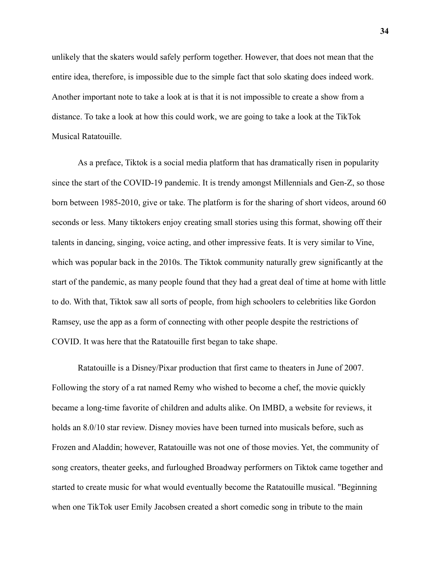unlikely that the skaters would safely perform together. However, that does not mean that the entire idea, therefore, is impossible due to the simple fact that solo skating does indeed work. Another important note to take a look at is that it is not impossible to create a show from a distance. To take a look at how this could work, we are going to take a look at the TikTok Musical Ratatouille.

As a preface, Tiktok is a social media platform that has dramatically risen in popularity since the start of the COVID-19 pandemic. It is trendy amongst Millennials and Gen-Z, so those born between 1985-2010, give or take. The platform is for the sharing of short videos, around 60 seconds or less. Many tiktokers enjoy creating small stories using this format, showing off their talents in dancing, singing, voice acting, and other impressive feats. It is very similar to Vine, which was popular back in the 2010s. The Tiktok community naturally grew significantly at the start of the pandemic, as many people found that they had a great deal of time at home with little to do. With that, Tiktok saw all sorts of people, from high schoolers to celebrities like Gordon Ramsey, use the app as a form of connecting with other people despite the restrictions of COVID. It was here that the Ratatouille first began to take shape.

Ratatouille is a Disney/Pixar production that first came to theaters in June of 2007. Following the story of a rat named Remy who wished to become a chef, the movie quickly became a long-time favorite of children and adults alike. On IMBD, a website for reviews, it holds an 8.0/10 star review. Disney movies have been turned into musicals before, such as Frozen and Aladdin; however, Ratatouille was not one of those movies. Yet, the community of song creators, theater geeks, and furloughed Broadway performers on Tiktok came together and started to create music for what would eventually become the Ratatouille musical. "Beginning when one [TikTok](https://en.wikipedia.org/wiki/TikTok) user Emily Jacobsen created a short comedic song in tribute to the main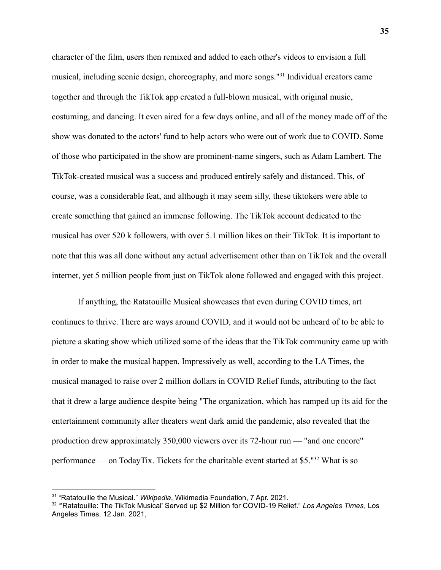character of the film, users then remixed and added to each other's videos to envision a full musical, including scenic design, choreography, and more songs."<sup>31</sup> Individual creators came together and through the TikTok app created a full-blown musical, with original music, costuming, and dancing. It even aired for a few days online, and all of the money made off of the show was donated to the actors' fund to help actors who were out of work due to COVID. Some of those who participated in the show are prominent-name singers, such as Adam Lambert. The TikTok-created musical was a success and produced entirely safely and distanced. This, of course, was a considerable feat, and although it may seem silly, these tiktokers were able to create something that gained an immense following. The TikTok account dedicated to the musical has over 520 k followers, with over 5.1 million likes on their TikTok. It is important to note that this was all done without any actual advertisement other than on TikTok and the overall internet, yet 5 million people from just on TikTok alone followed and engaged with this project.

If anything, the Ratatouille Musical showcases that even during COVID times, art continues to thrive. There are ways around COVID, and it would not be unheard of to be able to picture a skating show which utilized some of the ideas that the TikTok community came up with in order to make the musical happen. Impressively as well, according to the LA Times, the musical managed to raise over 2 million dollars in COVID Relief funds, attributing to the fact that it drew a large audience despite being "The organization, which has ramped up its aid for the entertainment community after theaters went dark amid the pandemic, also revealed that the production drew approximately 350,000 viewers over its 72-hour run — "and one encore" performance — on TodayTix. Tickets for the charitable event started at \$5."<sup>32</sup> What is so

<sup>31</sup> "Ratatouille the Musical." *Wikipedia*, Wikimedia Foundation, 7 Apr. 2021.

<sup>32</sup> "'Ratatouille: The TikTok Musical' Served up \$2 Million for COVID-19 Relief." *Los Angeles Times*, Los Angeles Times, 12 Jan. 2021,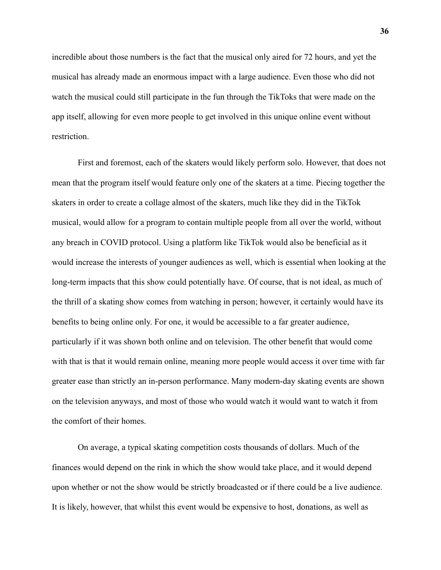incredible about those numbers is the fact that the musical only aired for 72 hours, and yet the musical has already made an enormous impact with a large audience. Even those who did not watch the musical could still participate in the fun through the TikToks that were made on the app itself, allowing for even more people to get involved in this unique online event without restriction.

First and foremost, each of the skaters would likely perform solo. However, that does not mean that the program itself would feature only one of the skaters at a time. Piecing together the skaters in order to create a collage almost of the skaters, much like they did in the TikTok musical, would allow for a program to contain multiple people from all over the world, without any breach in COVID protocol. Using a platform like TikTok would also be beneficial as it would increase the interests of younger audiences as well, which is essential when looking at the long-term impacts that this show could potentially have. Of course, that is not ideal, as much of the thrill of a skating show comes from watching in person; however, it certainly would have its benefits to being online only. For one, it would be accessible to a far greater audience, particularly if it was shown both online and on television. The other benefit that would come with that is that it would remain online, meaning more people would access it over time with far greater ease than strictly an in-person performance. Many modern-day skating events are shown on the television anyways, and most of those who would watch it would want to watch it from the comfort of their homes.

On average, a typical skating competition costs thousands of dollars. Much of the finances would depend on the rink in which the show would take place, and it would depend upon whether or not the show would be strictly broadcasted or if there could be a live audience. It is likely, however, that whilst this event would be expensive to host, donations, as well as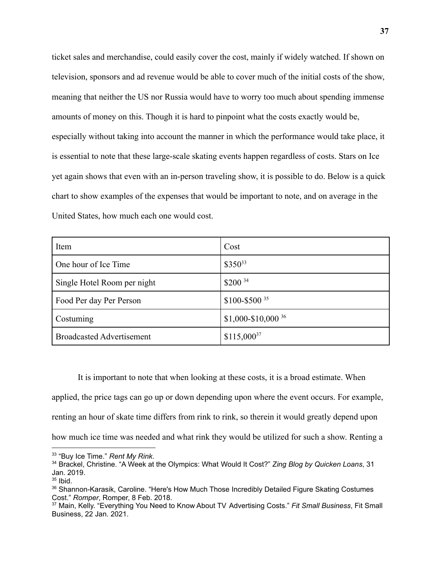ticket sales and merchandise, could easily cover the cost, mainly if widely watched. If shown on television, sponsors and ad revenue would be able to cover much of the initial costs of the show, meaning that neither the US nor Russia would have to worry too much about spending immense amounts of money on this. Though it is hard to pinpoint what the costs exactly would be, especially without taking into account the manner in which the performance would take place, it is essential to note that these large-scale skating events happen regardless of costs. Stars on Ice yet again shows that even with an in-person traveling show, it is possible to do. Below is a quick chart to show examples of the expenses that would be important to note, and on average in the United States, how much each one would cost.

| Item                             | Cost                             |
|----------------------------------|----------------------------------|
| One hour of Ice Time             | $$350^{33}$                      |
| Single Hotel Room per night      | $$200^{34}$                      |
| Food Per day Per Person          | $$100 - $500$ <sup>35</sup>      |
| Costuming                        | $$1,000 - $10,000$ <sup>36</sup> |
| <b>Broadcasted Advertisement</b> | $$115,000^{37}$                  |

It is important to note that when looking at these costs, it is a broad estimate. When

applied, the price tags can go up or down depending upon where the event occurs. For example,

renting an hour of skate time differs from rink to rink, so therein it would greatly depend upon

how much ice time was needed and what rink they would be utilized for such a show. Renting a

<sup>33</sup> "Buy Ice Time." *Rent My Rink*.

<sup>34</sup> Brackel, Christine. "A Week at the Olympics: What Would It Cost?" *Zing Blog by Quicken Loans*, 31 Jan. 2019.

 $35$  Ibid.

<sup>&</sup>lt;sup>36</sup> Shannon-Karasik, Caroline. "Here's How Much Those Incredibly Detailed Figure Skating Costumes Cost." *Romper*, Romper, 8 Feb. 2018.

<sup>37</sup> Main, Kelly. "Everything You Need to Know About TV Advertising Costs." *Fit Small Business*, Fit Small Business, 22 Jan. 2021.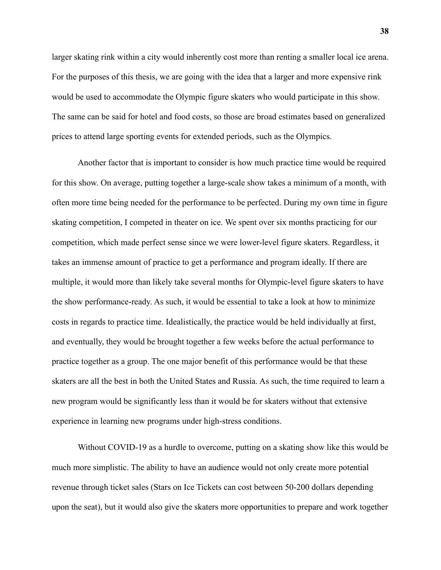larger skating rink within a city would inherently cost more than renting a smaller local ice arena. For the purposes of this thesis, we are going with the idea that a larger and more expensive rink would be used to accommodate the Olympic figure skaters who would participate in this show. The same can be said for hotel and food costs, so those are broad estimates based on generalized prices to attend large sporting events for extended periods, such as the Olympics.

Another factor that is important to consider is how much practice time would be required for this show. On average, putting together a large-scale show takes a minimum of a month, with often more time being needed for the performance to be perfected. During my own time in figure skating competition, I competed in theater on ice. We spent over six months practicing for our competition, which made perfect sense since we were lower-level figure skaters. Regardless, it takes an immense amount of practice to get a performance and program ideally. If there are multiple, it would more than likely take several months for Olympic-level figure skaters to have the show performance-ready. As such, it would be essential to take a look at how to minimize costs in regards to practice time. Idealistically, the practice would be held individually at first, and eventually, they would be brought together a few weeks before the actual performance to practice together as a group. The one major benefit of this performance would be that these skaters are all the best in both the United States and Russia. As such, the time required to learn a new program would be significantly less than it would be for skaters without that extensive experience in learning new programs under high-stress conditions.

Without COVID-19 as a hurdle to overcome, putting on a skating show like this would be much more simplistic. The ability to have an audience would not only create more potential revenue through ticket sales (Stars on Ice Tickets can cost between 50-200 dollars depending upon the seat), but it would also give the skaters more opportunities to prepare and work together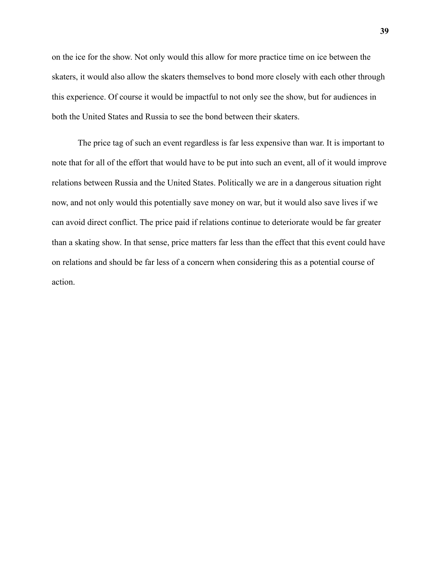on the ice for the show. Not only would this allow for more practice time on ice between the skaters, it would also allow the skaters themselves to bond more closely with each other through this experience. Of course it would be impactful to not only see the show, but for audiences in both the United States and Russia to see the bond between their skaters.

The price tag of such an event regardless is far less expensive than war. It is important to note that for all of the effort that would have to be put into such an event, all of it would improve relations between Russia and the United States. Politically we are in a dangerous situation right now, and not only would this potentially save money on war, but it would also save lives if we can avoid direct conflict. The price paid if relations continue to deteriorate would be far greater than a skating show. In that sense, price matters far less than the effect that this event could have on relations and should be far less of a concern when considering this as a potential course of action.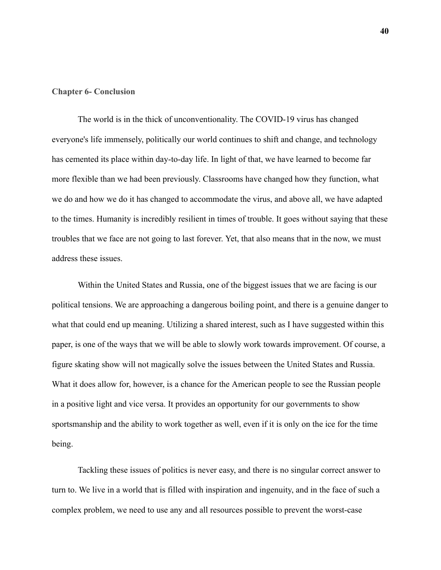#### **Chapter 6- Conclusion**

The world is in the thick of unconventionality. The COVID-19 virus has changed everyone's life immensely, politically our world continues to shift and change, and technology has cemented its place within day-to-day life. In light of that, we have learned to become far more flexible than we had been previously. Classrooms have changed how they function, what we do and how we do it has changed to accommodate the virus, and above all, we have adapted to the times. Humanity is incredibly resilient in times of trouble. It goes without saying that these troubles that we face are not going to last forever. Yet, that also means that in the now, we must address these issues.

Within the United States and Russia, one of the biggest issues that we are facing is our political tensions. We are approaching a dangerous boiling point, and there is a genuine danger to what that could end up meaning. Utilizing a shared interest, such as I have suggested within this paper, is one of the ways that we will be able to slowly work towards improvement. Of course, a figure skating show will not magically solve the issues between the United States and Russia. What it does allow for, however, is a chance for the American people to see the Russian people in a positive light and vice versa. It provides an opportunity for our governments to show sportsmanship and the ability to work together as well, even if it is only on the ice for the time being.

Tackling these issues of politics is never easy, and there is no singular correct answer to turn to. We live in a world that is filled with inspiration and ingenuity, and in the face of such a complex problem, we need to use any and all resources possible to prevent the worst-case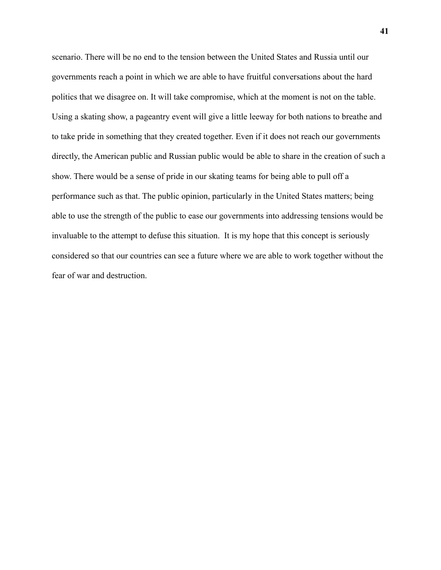scenario. There will be no end to the tension between the United States and Russia until our governments reach a point in which we are able to have fruitful conversations about the hard politics that we disagree on. It will take compromise, which at the moment is not on the table. Using a skating show, a pageantry event will give a little leeway for both nations to breathe and to take pride in something that they created together. Even if it does not reach our governments directly, the American public and Russian public would be able to share in the creation of such a show. There would be a sense of pride in our skating teams for being able to pull off a performance such as that. The public opinion, particularly in the United States matters; being able to use the strength of the public to ease our governments into addressing tensions would be invaluable to the attempt to defuse this situation. It is my hope that this concept is seriously considered so that our countries can see a future where we are able to work together without the fear of war and destruction.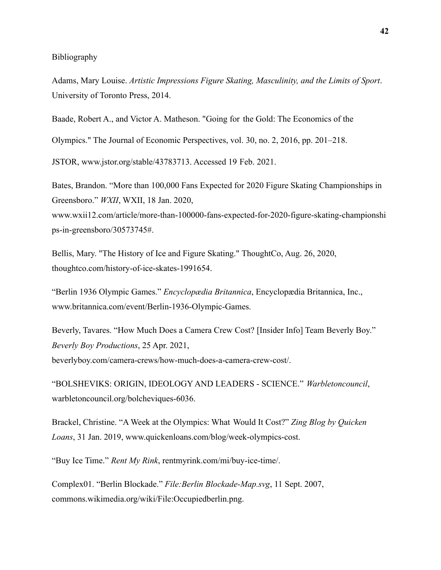### Bibliography

Adams, Mary Louise. *Artistic Impressions Figure Skating, Masculinity, and the Limits of Sport*. University of Toronto Press, 2014.

Baade, Robert A., and Victor A. Matheson. "Going for the Gold: The Economics of the

Olympics." The Journal of Economic Perspectives, vol. 30, no. 2, 2016, pp. 201–218.

JSTOR, www.jstor.org/stable/43783713. Accessed 19 Feb. 2021.

Bates, Brandon. "More than 100,000 Fans Expected for 2020 Figure Skating Championships in Greensboro." *WXII*, WXII, 18 Jan. 2020,

www.wxii12.com/article/more-than-100000-fans-expected-for-2020-figure-skating-championshi ps-in-greensboro/30573745#.

Bellis, Mary. "The History of Ice and Figure Skating." ThoughtCo, Aug. 26, 2020, thoughtco.com/history-of-ice-skates-1991654.

"Berlin 1936 Olympic Games." *Encyclopædia Britannica*, Encyclopædia Britannica, Inc., www.britannica.com/event/Berlin-1936-Olympic-Games.

Beverly, Tavares. "How Much Does a Camera Crew Cost? [Insider Info] Team Beverly Boy." *Beverly Boy Productions*, 25 Apr. 2021, beverlyboy.com/camera-crews/how-much-does-a-camera-crew-cost/.

"BOLSHEVIKS: ORIGIN, IDEOLOGY AND LEADERS - SCIENCE." *Warbletoncouncil*, warbletoncouncil.org/bolcheviques-6036.

Brackel, Christine. "A Week at the Olympics: What Would It Cost?" *Zing Blog by Quicken Loans*, 31 Jan. 2019, www.quickenloans.com/blog/week-olympics-cost.

"Buy Ice Time." *Rent My Rink*, rentmyrink.com/mi/buy-ice-time/.

Complex01. "Berlin Blockade." *File:Berlin Blockade-Map.svg*, 11 Sept. 2007, commons.wikimedia.org/wiki/File:Occupiedberlin.png.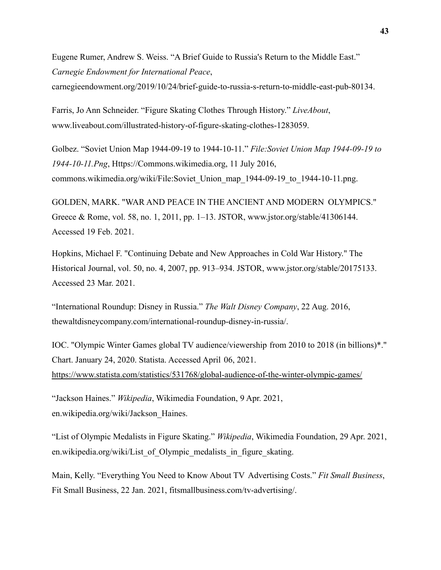Eugene Rumer, Andrew S. Weiss. "A Brief Guide to Russia's Return to the Middle East." *Carnegie Endowment for International Peace*, carnegieendowment.org/2019/10/24/brief-guide-to-russia-s-return-to-middle-east-pub-80134.

Farris, Jo Ann Schneider. "Figure Skating Clothes Through History." *LiveAbout*, www.liveabout.com/illustrated-history-of-figure-skating-clothes-1283059.

Golbez. "Soviet Union Map 1944-09-19 to 1944-10-11." *File:Soviet Union Map 1944-09-19 to 1944-10-11.Png*, Https://Commons.wikimedia.org, 11 July 2016, commons.wikimedia.org/wiki/File:Soviet\_Union\_map\_1944-09-19\_to\_1944-10-11.png.

GOLDEN, MARK. "WAR AND PEACE IN THE ANCIENT AND MODERN OLYMPICS." Greece & Rome, vol. 58, no. 1, 2011, pp. 1–13. JSTOR, www.jstor.org/stable/41306144. Accessed 19 Feb. 2021.

Hopkins, Michael F. "Continuing Debate and New Approaches in Cold War History." The Historical Journal, vol. 50, no. 4, 2007, pp. 913–934. JSTOR, www.jstor.org/stable/20175133. Accessed 23 Mar. 2021.

"International Roundup: Disney in Russia." *The Walt Disney Company*, 22 Aug. 2016, thewaltdisneycompany.com/international-roundup-disney-in-russia/.

IOC. "Olympic Winter Games global TV audience/viewership from 2010 to 2018 (in billions)\*." Chart. January 24, 2020. Statista. Accessed April 06, 2021. <https://www.statista.com/statistics/531768/global-audience-of-the-winter-olympic-games/>

"Jackson Haines." *Wikipedia*, Wikimedia Foundation, 9 Apr. 2021, en.wikipedia.org/wiki/Jackson\_Haines.

"List of Olympic Medalists in Figure Skating." *Wikipedia*, Wikimedia Foundation, 29 Apr. 2021, en.wikipedia.org/wiki/List of Olympic medalists in figure skating.

Main, Kelly. "Everything You Need to Know About TV Advertising Costs." *Fit Small Business*, Fit Small Business, 22 Jan. 2021, fitsmallbusiness.com/tv-advertising/.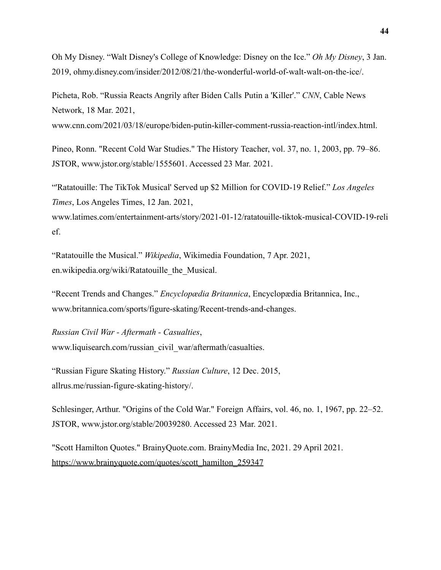Oh My Disney. "Walt Disney's College of Knowledge: Disney on the Ice." *Oh My Disney*, 3 Jan. 2019, ohmy.disney.com/insider/2012/08/21/the-wonderful-world-of-walt-walt-on-the-ice/.

Picheta, Rob. "Russia Reacts Angrily after Biden Calls Putin a 'Killer'." *CNN*, Cable News Network, 18 Mar. 2021,

www.cnn.com/2021/03/18/europe/biden-putin-killer-comment-russia-reaction-intl/index.html.

Pineo, Ronn. "Recent Cold War Studies." The History Teacher, vol. 37, no. 1, 2003, pp. 79–86. JSTOR, www.jstor.org/stable/1555601. Accessed 23 Mar. 2021.

"'Ratatouille: The TikTok Musical' Served up \$2 Million for COVID-19 Relief." *Los Angeles Times*, Los Angeles Times, 12 Jan. 2021,

www.latimes.com/entertainment-arts/story/2021-01-12/ratatouille-tiktok-musical-COVID-19-reli ef.

"Ratatouille the Musical." *Wikipedia*, Wikimedia Foundation, 7 Apr. 2021, en.wikipedia.org/wiki/Ratatouille\_the\_Musical.

"Recent Trends and Changes." *Encyclopædia Britannica*, Encyclopædia Britannica, Inc., www.britannica.com/sports/figure-skating/Recent-trends-and-changes.

*Russian Civil War - Aftermath - Casualties*, www.liquisearch.com/russian\_civil\_war/aftermath/casualties.

"Russian Figure Skating History." *Russian Culture*, 12 Dec. 2015, allrus.me/russian-figure-skating-history/.

Schlesinger, Arthur. "Origins of the Cold War." Foreign Affairs, vol. 46, no. 1, 1967, pp. 22–52. JSTOR, www.jstor.org/stable/20039280. Accessed 23 Mar. 2021.

"Scott Hamilton Quotes." BrainyQuote.com. BrainyMedia Inc, 2021. 29 April 2021. [https://www.brainyquote.com/quotes/scott\\_hamilton\\_259347](https://www.brainyquote.com/quotes/scott_hamilton_259347)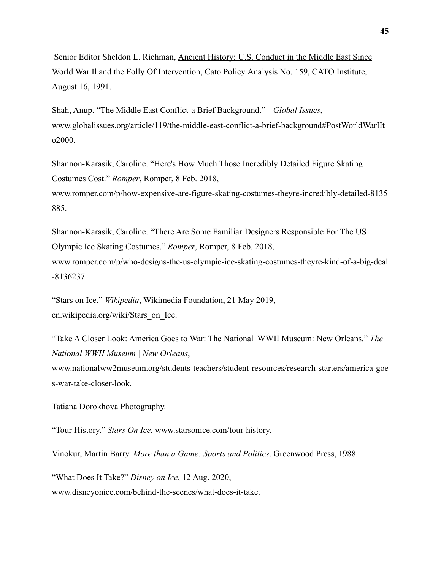Senior Editor Sheldon L. Richman, [Ancient History: U.S. Conduct in the Middle East Since](http://www.cato.org/pubs/pas/pa-159.html) [World War Il and the Folly Of Intervention](http://www.cato.org/pubs/pas/pa-159.html), Cato Policy Analysis No. 159, CATO Institute, August 16, 1991.

Shah, Anup. "The Middle East Conflict-a Brief Background." *- Global Issues*, www.globalissues.org/article/119/the-middle-east-conflict-a-brief-background#PostWorldWarIIt o2000.

Shannon-Karasik, Caroline. "Here's How Much Those Incredibly Detailed Figure Skating Costumes Cost." *Romper*, Romper, 8 Feb. 2018, www.romper.com/p/how-expensive-are-figure-skating-costumes-theyre-incredibly-detailed-8135 885.

Shannon-Karasik, Caroline. "There Are Some Familiar Designers Responsible For The US Olympic Ice Skating Costumes." *Romper*, Romper, 8 Feb. 2018, www.romper.com/p/who-designs-the-us-olympic-ice-skating-costumes-theyre-kind-of-a-big-deal -8136237.

"Stars on Ice." *Wikipedia*, Wikimedia Foundation, 21 May 2019, en.wikipedia.org/wiki/Stars\_on\_Ice.

"Take A Closer Look: America Goes to War: The National WWII Museum: New Orleans." *The National WWII Museum | New Orleans*,

www.nationalww2museum.org/students-teachers/student-resources/research-starters/america-goe s-war-take-closer-look.

Tatiana Dorokhova Photography.

"Tour History." *Stars On Ice*, www.starsonice.com/tour-history.

Vinokur, Martin Barry. *More than a Game: Sports and Politics*. Greenwood Press, 1988.

"What Does It Take?" *Disney on Ice*, 12 Aug. 2020, www.disneyonice.com/behind-the-scenes/what-does-it-take.